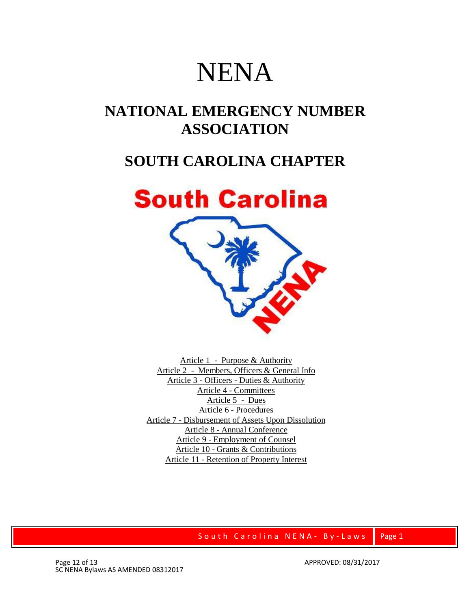# NENA

## **NATIONAL EMERGENCY NUMBER ASSOCIATION**

## **SOUTH CAROLINA CHAPTER**



Article 1 - Purpose & [Authority](http://www.nena.org/scnena/#Article%20I%20%C2%96%20ELECTION%20OF%20MEMBERS) Article 2 - Members, Officers & [General Info](http://www.nena.org/scnena/#Article%20I%20%C2%96%20ELECTION%20OF%20MEMBERS) Article 3 - Officers - Duties & [Authority](http://www.nena.org/scnena/#ARTICLE%20III%20%C2%96%20OFFICERS%20%C2%96%20(DUTIES%20AND%20AUTHORITY)) Article 4 - [Committees](http://www.nena.org/scnena/#ARTICLE%20III%20%C2%96%20OFFICERS%20%C2%96%20(DUTIES%20AND%20AUTHORITY)) [Article](http://www.nena.org/scnena/#ARTICLE%20V%20%C2%96%20DUES) 5 - Dues Article 6 - [Procedures](http://www.nena.org/scnena/#ARTICLE%20V%20%C2%96%20DUES) Article 7 - [Disbursement](http://www.nena.org/scnena/#ARTICLE%20VII%20%C2%96%20DISBURSEMENT%20OF%20ASSETS%20UPON%20DISSOLUTION) of Assets Upon Dissolution Article 8 - [Annual Conference](http://www.nena.org/scnena/#ARTICLE%20VII%20%C2%96%20DISBURSEMENT%20OF%20ASSETS%20UPON%20DISSOLUTION) Article 9 - [Employment](http://www.nena.org/scnena/#ARTICLE%20IX%20%C2%96%20EMPLOYMENT%20OF%20COUNSEL) of Counsel Article 10 - Grants & [Contributions](http://www.nena.org/scnena/#ARTICLE%20IX%20%C2%96%20EMPLOYMENT%20OF%20COUNSEL) Article 11 - [Retention](http://www.nena.org/scnena/#ARTICLE%20XI%20%C2%96%20RETENTION%20OF%20PROPERTY%20INTEREST) of Property Interest

## South Carolina NENA - By-Laws Page 1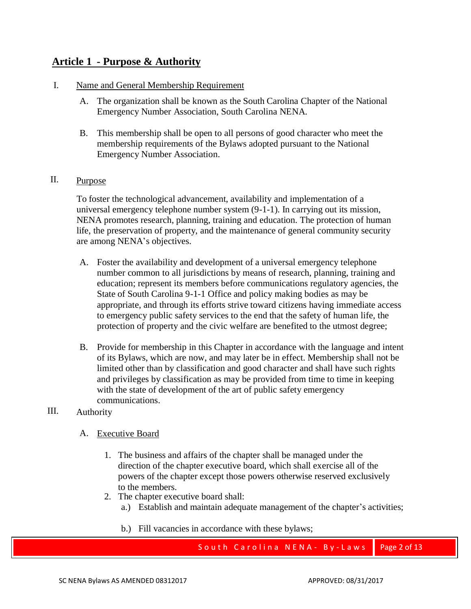## **Article 1 - Purpose & [Authority](http://www.nena.org/scnena/#Article%20I%20%C2%96%20ELECTION%20OF%20MEMBERS)**

## I. Name and General Membership Requirement

- A. The organization shall be known as the South Carolina Chapter of the National Emergency Number Association, South Carolina NENA.
- B. This membership shall be open to all persons of good character who meet the membership requirements of the Bylaws adopted pursuant to the National Emergency Number Association.

## II. Purpose

To foster the technological advancement, availability and implementation of a universal emergency telephone number system (9-1-1). In carrying out its mission, NENA promotes research, planning, training and education. The protection of human life, the preservation of property, and the maintenance of general community security are among NENA's objectives.

- A. Foster the availability and development of a universal emergency telephone number common to all jurisdictions by means of research, planning, training and education; represent its members before communications regulatory agencies, the State of South Carolina 9-1-1 Office and policy making bodies as may be appropriate, and through its efforts strive toward citizens having immediate access to emergency public safety services to the end that the safety of human life, the protection of property and the civic welfare are benefited to the utmost degree;
- B. Provide for membership in this Chapter in accordance with the language and intent of its Bylaws, which are now, and may later be in effect. Membership shall not be limited other than by classification and good character and shall have such rights and privileges by classification as may be provided from time to time in keeping with the state of development of the art of public safety emergency communications.

## III. Authority

- A. Executive Board
	- 1. The business and affairs of the chapter shall be managed under the direction of the chapter executive board, which shall exercise all of the powers of the chapter except those powers otherwise reserved exclusively to the members.
	- 2. The chapter executive board shall:
		- a.) Establish and maintain adequate management of the chapter's activities;
		- b.) Fill vacancies in accordance with these bylaws;

## South Carolina NENA - By-Laws Page 2 of 13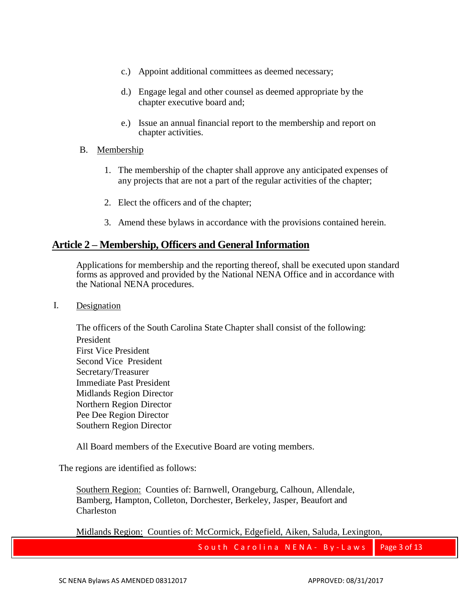- c.) Appoint additional committees as deemed necessary;
- d.) Engage legal and other counsel as deemed appropriate by the chapter executive board and;
- e.) Issue an annual financial report to the membership and report on chapter activities.

## B. Membership

- 1. The membership of the chapter shall approve any anticipated expenses of any projects that are not a part of the regular activities of the chapter;
- 2. Elect the officers and of the chapter;
- 3. Amend these bylaws in accordance with the provisions contained herein.

## **Article 2 – Membership, Officers and General Information**

Applications for membership and the reporting thereof, shall be executed upon standard forms as approved and provided by the National NENA Office and in accordance with the National NENA procedures.

#### I. Designation

The officers of the South Carolina State Chapter shall consist of the following: President First Vice President Second Vice President Secretary/Treasurer Immediate Past President Midlands Region Director Northern Region Director Pee Dee Region Director Southern Region Director

All Board members of the Executive Board are voting members.

The regions are identified as follows:

Southern Region: Counties of: Barnwell, Orangeburg, Calhoun, Allendale, Bamberg, Hampton, Colleton, Dorchester, Berkeley, Jasper, Beaufort and Charleston

Midlands Region: Counties of: McCormick, Edgefield, Aiken, Saluda, Lexington,

South Carolina NENA - By-Laws | Page 3 of 13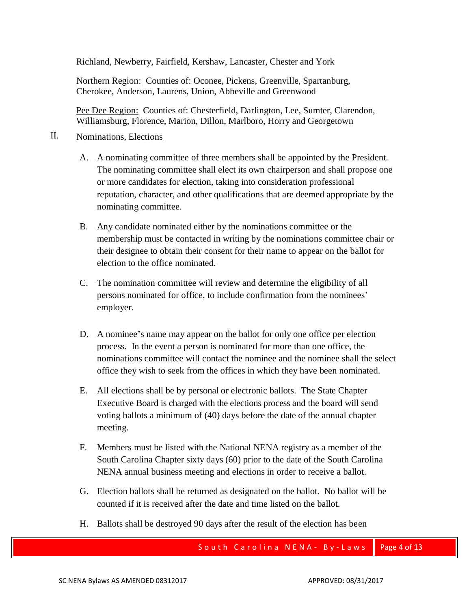Richland, Newberry, Fairfield, Kershaw, Lancaster, Chester and York

Northern Region: Counties of: Oconee, Pickens, Greenville, Spartanburg, Cherokee, Anderson, Laurens, Union, Abbeville and Greenwood

Pee Dee Region: Counties of: Chesterfield, Darlington, Lee, Sumter, Clarendon, Williamsburg, Florence, Marion, Dillon, Marlboro, Horry and Georgetown

## II. Nominations, Elections

- A. A nominating committee of three members shall be appointed by the President. The nominating committee shall elect its own chairperson and shall propose one or more candidates for election, taking into consideration professional reputation, character, and other qualifications that are deemed appropriate by the nominating committee.
- B. Any candidate nominated either by the nominations committee or the membership must be contacted in writing by the nominations committee chair or their designee to obtain their consent for their name to appear on the ballot for election to the office nominated.
- C. The nomination committee will review and determine the eligibility of all persons nominated for office, to include confirmation from the nominees' employer.
- D. A nominee's name may appear on the ballot for only one office per election process. In the event a person is nominated for more than one office, the nominations committee will contact the nominee and the nominee shall the select office they wish to seek from the offices in which they have been nominated.
- E. All elections shall be by personal or electronic ballots. The State Chapter Executive Board is charged with the elections process and the board will send voting ballots a minimum of (40) days before the date of the annual chapter meeting.
- F. Members must be listed with the National NENA registry as a member of the South Carolina Chapter sixty days (60) prior to the date of the South Carolina NENA annual business meeting and elections in order to receive a ballot.
- G. Election ballots shall be returned as designated on the ballot. No ballot will be counted if it is received after the date and time listed on the ballot.
- H. Ballots shall be destroyed 90 days after the result of the election has been

South Carolina NENA - By-Laws Page 4 of 13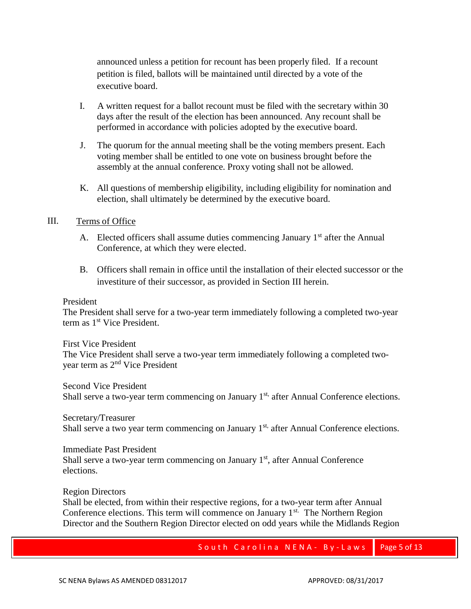announced unless a petition for recount has been properly filed. If a recount petition is filed, ballots will be maintained until directed by a vote of the executive board.

- I. A written request for a ballot recount must be filed with the secretary within 30 days after the result of the election has been announced. Any recount shall be performed in accordance with policies adopted by the executive board.
- J. The quorum for the annual meeting shall be the voting members present. Each voting member shall be entitled to one vote on business brought before the assembly at the annual conference. Proxy voting shall not be allowed.
- K. All questions of membership eligibility, including eligibility for nomination and election, shall ultimately be determined by the executive board.

#### III. Terms of Office

- A. Elected officers shall assume duties commencing January  $1<sup>st</sup>$  after the Annual Conference, at which they were elected.
- B. Officers shall remain in office until the installation of their elected successor or the investiture of their successor, as provided in Section III herein.

#### President

The President shall serve for a two-year term immediately following a completed two-year term as 1<sup>st</sup> Vice President.

First Vice President The Vice President shall serve a two-year term immediately following a completed twoyear term as 2nd Vice President

Second Vice President Shall serve a two-year term commencing on January 1<sup>st,</sup> after Annual Conference elections.

Secretary/Treasurer Shall serve a two year term commencing on January 1<sup>st,</sup> after Annual Conference elections.

Immediate Past President Shall serve a two-year term commencing on January  $1<sup>st</sup>$ , after Annual Conference elections.

Region Directors

Shall be elected, from within their respective regions, for a two-year term after Annual Conference elections. This term will commence on January  $1<sup>st</sup>$ . The Northern Region Director and the Southern Region Director elected on odd years while the Midlands Region

South Carolina NENA - By-Laws Page 5 of 13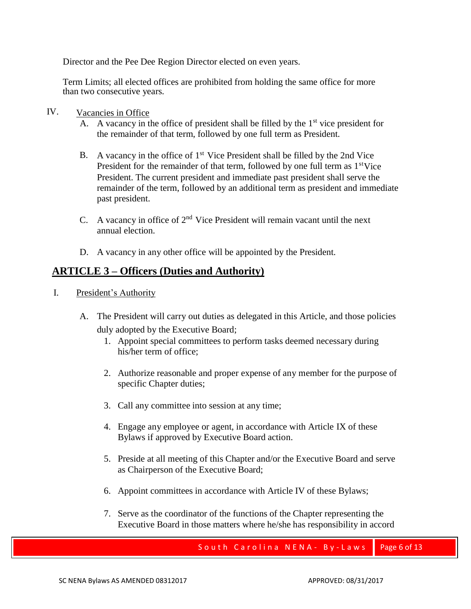Director and the Pee Dee Region Director elected on even years.

Term Limits; all elected offices are prohibited from holding the same office for more than two consecutive years.

- IV. Vacancies in Office
	- A. A vacancy in the office of president shall be filled by the  $1<sup>st</sup>$  vice president for the remainder of that term, followed by one full term as President.
	- B. A vacancy in the office of  $1<sup>st</sup>$  Vice President shall be filled by the 2nd Vice President for the remainder of that term, followed by one full term as 1<sup>st</sup>Vice President. The current president and immediate past president shall serve the remainder of the term, followed by an additional term as president and immediate past president.
	- C. A vacancy in office of  $2<sup>nd</sup>$  Vice President will remain vacant until the next annual election.
	- D. A vacancy in any other office will be appointed by the President.

## **ARTICLE 3 – Officers (Duties and Authority)**

- I. President's Authority
	- A. The President will carry out duties as delegated in this Article, and those policies duly adopted by the Executive Board;
		- 1. Appoint special committees to perform tasks deemed necessary during his/her term of office;
		- 2. Authorize reasonable and proper expense of any member for the purpose of specific Chapter duties;
		- 3. Call any committee into session at any time;
		- 4. Engage any employee or agent, in accordance with Article IX of these Bylaws if approved by Executive Board action.
		- 5. Preside at all meeting of this Chapter and/or the Executive Board and serve as Chairperson of the Executive Board;
		- 6. Appoint committees in accordance with Article IV of these Bylaws;
		- 7. Serve as the coordinator of the functions of the Chapter representing the Executive Board in those matters where he/she has responsibility in accord

South Carolina NENA - By-Laws Page 6 of 13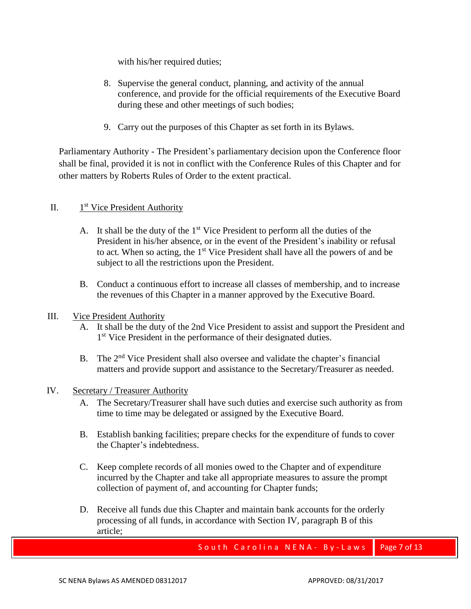with his/her required duties;

- 8. Supervise the general conduct, planning, and activity of the annual conference, and provide for the official requirements of the Executive Board during these and other meetings of such bodies;
- 9. Carry out the purposes of this Chapter as set forth in its Bylaws.

Parliamentary Authority - The President's parliamentary decision upon the Conference floor shall be final, provided it is not in conflict with the Conference Rules of this Chapter and for other matters by Roberts Rules of Order to the extent practical.

#### $II.$ 1<sup>st</sup> Vice President Authority

- A. It shall be the duty of the 1<sup>st</sup> Vice President to perform all the duties of the President in his/her absence, or in the event of the President's inability or refusal to act. When so acting, the  $1<sup>st</sup>$  Vice President shall have all the powers of and be subject to all the restrictions upon the President.
- B. Conduct a continuous effort to increase all classes of membership, and to increase the revenues of this Chapter in a manner approved by the Executive Board.
- III. Vice President Authority
	- A. It shall be the duty of the 2nd Vice President to assist and support the President and 1<sup>st</sup> Vice President in the performance of their designated duties.
	- B. The 2<sup>nd</sup> Vice President shall also oversee and validate the chapter's financial matters and provide support and assistance to the Secretary/Treasurer as needed.

## IV. Secretary / Treasurer Authority

- A. The Secretary/Treasurer shall have such duties and exercise such authority as from time to time may be delegated or assigned by the Executive Board.
- B. Establish banking facilities; prepare checks for the expenditure of funds to cover the Chapter's indebtedness.
- C. Keep complete records of all monies owed to the Chapter and of expenditure incurred by the Chapter and take all appropriate measures to assure the prompt collection of payment of, and accounting for Chapter funds;
- D. Receive all funds due this Chapter and maintain bank accounts for the orderly processing of all funds, in accordance with Section IV, paragraph B of this article;

South Carolina NENA - By-Laws | Page 7 of 13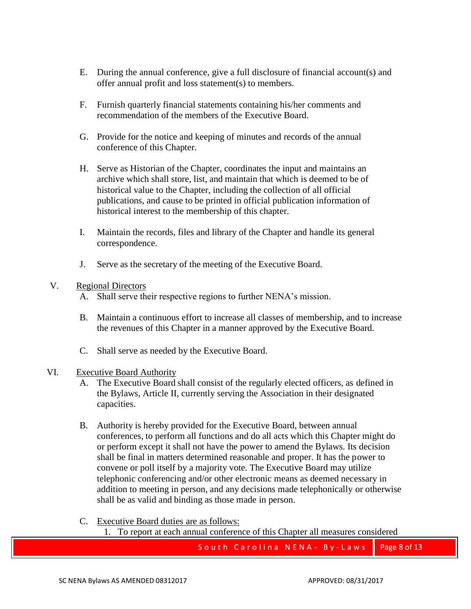- E. During the annual conference, give a full disclosure of financial account(s) and offer annual profit and loss statement(s) to members.
- F. Furnish quarterly financial statements containing his/her comments and recommendation of the members of the Executive Board.
- G. Provide for the notice and keeping of minutes and records of the annual conference of this Chapter.
- H. Serve as Historian of the Chapter, coordinates the input and maintains an archive which shall store, list, and maintain that which is deemed to be of historical value to the Chapter, including the collection of all official publications, and cause to be printed in official publication information of historical interest to the membership of this chapter.
- I. Maintain the records, files and library of the Chapter and handle its general correspondence.
- J. Serve as the secretary of the meeting of the Executive Board.

## V. Regional Directors

- A. Shall serve their respective regions to further NENA's mission.
- B. Maintain a continuous effort to increase all classes of membership, and to increase the revenues of this Chapter in a manner approved by the Executive Board.
- C. Shall serve as needed by the Executive Board.

## VI. Executive Board Authority

- A. The Executive Board shall consist of the regularly elected officers, as defined in the Bylaws, Article II, currently serving the Association in their designated capacities.
- B. Authority is hereby provided for the Executive Board, between annual conferences, to perform all functions and do all acts which this Chapter might do or perform except it shall not have the power to amend the Bylaws. Its decision shall be final in matters determined reasonable and proper. It has the power to convene or poll itself by a majority vote. The Executive Board may utilize telephonic conferencing and/or other electronic means as deemed necessary in addition to meeting in person, and any decisions made telephonically or otherwise shall be as valid and binding as those made in person.

C. Executive Board duties are as follows:

1. To report at each annual conference of this Chapter all measures considered

South Carolina NENA - By-Laws Page 8 of 13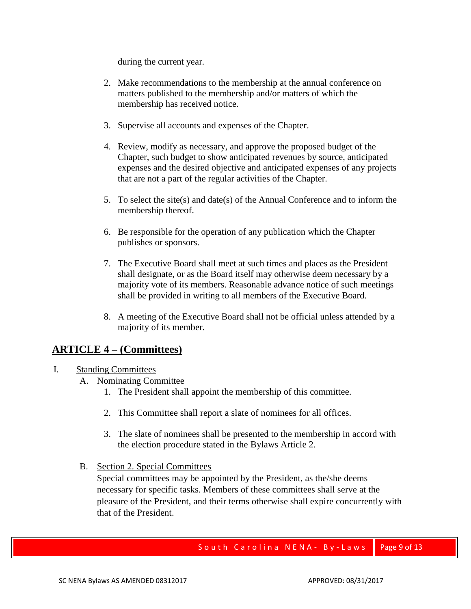during the current year.

- 2. Make recommendations to the membership at the annual conference on matters published to the membership and/or matters of which the membership has received notice.
- 3. Supervise all accounts and expenses of the Chapter.
- 4. Review, modify as necessary, and approve the proposed budget of the Chapter, such budget to show anticipated revenues by source, anticipated expenses and the desired objective and anticipated expenses of any projects that are not a part of the regular activities of the Chapter.
- 5. To select the site(s) and date(s) of the Annual Conference and to inform the membership thereof.
- 6. Be responsible for the operation of any publication which the Chapter publishes or sponsors.
- 7. The Executive Board shall meet at such times and places as the President shall designate, or as the Board itself may otherwise deem necessary by a majority vote of its members. Reasonable advance notice of such meetings shall be provided in writing to all members of the Executive Board.
- 8. A meeting of the Executive Board shall not be official unless attended by a majority of its member.

## **ARTICLE 4 – (Committees)**

- I. Standing Committees
	- A. Nominating Committee
		- 1. The President shall appoint the membership of this committee.
		- 2. This Committee shall report a slate of nominees for all offices.
		- 3. The slate of nominees shall be presented to the membership in accord with the election procedure stated in the Bylaws Article 2.
	- B. Section 2. Special Committees

Special committees may be appointed by the President, as the/she deems necessary for specific tasks. Members of these committees shall serve at the pleasure of the President, and their terms otherwise shall expire concurrently with that of the President.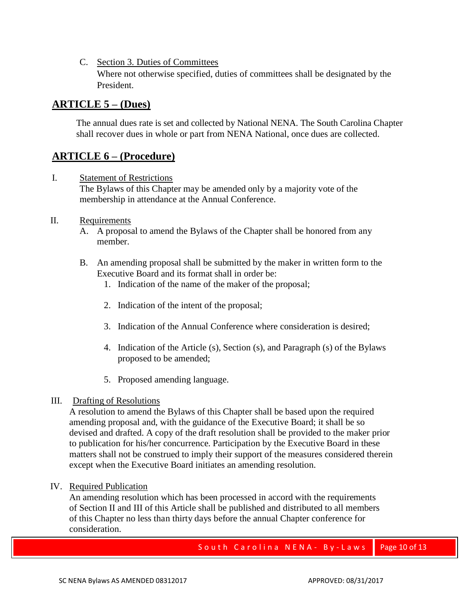C. Section 3. Duties of Committees Where not otherwise specified, duties of committees shall be designated by the President.

## **ARTICLE 5 – (Dues)**

The annual dues rate is set and collected by National NENA. The South Carolina Chapter shall recover dues in whole or part from NENA National, once dues are collected.

## **ARTICLE 6 – (Procedure)**

I. Statement of Restrictions

The Bylaws of this Chapter may be amended only by a majority vote of the membership in attendance at the Annual Conference.

## II. Requirements

- A. A proposal to amend the Bylaws of the Chapter shall be honored from any member.
- B. An amending proposal shall be submitted by the maker in written form to the Executive Board and its format shall in order be:
	- 1. Indication of the name of the maker of the proposal;
	- 2. Indication of the intent of the proposal;
	- 3. Indication of the Annual Conference where consideration is desired;
	- 4. Indication of the Article (s), Section (s), and Paragraph (s) of the Bylaws proposed to be amended;
	- 5. Proposed amending language.

## III. Drafting of Resolutions

A resolution to amend the Bylaws of this Chapter shall be based upon the required amending proposal and, with the guidance of the Executive Board; it shall be so devised and drafted. A copy of the draft resolution shall be provided to the maker prior to publication for his/her concurrence. Participation by the Executive Board in these matters shall not be construed to imply their support of the measures considered therein except when the Executive Board initiates an amending resolution.

IV. Required Publication

An amending resolution which has been processed in accord with the requirements of Section II and III of this Article shall be published and distributed to all members of this Chapter no less than thirty days before the annual Chapter conference for consideration.

South Carolina NENA - By-Laws | Page 10 of 13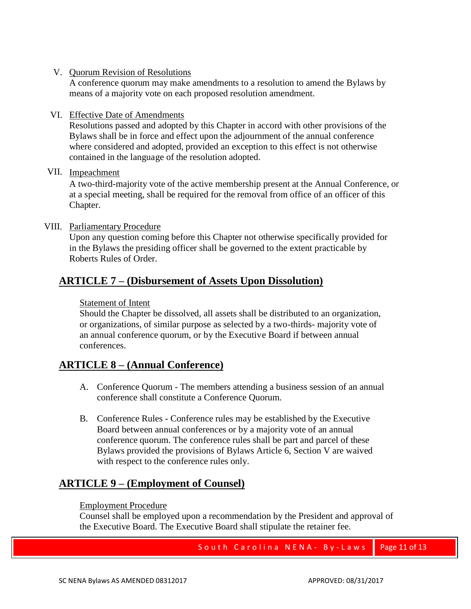V. Quorum Revision of Resolutions

A conference quorum may make amendments to a resolution to amend the Bylaws by means of a majority vote on each proposed resolution amendment.

VI. Effective Date of Amendments

Resolutions passed and adopted by this Chapter in accord with other provisions of the Bylaws shall be in force and effect upon the adjournment of the annual conference where considered and adopted, provided an exception to this effect is not otherwise contained in the language of the resolution adopted.

## VII. Impeachment

A two-third-majority vote of the active membership present at the Annual Conference, or at a special meeting, shall be required for the removal from office of an officer of this Chapter.

## VIII. Parliamentary Procedure

Upon any question coming before this Chapter not otherwise specifically provided for in the Bylaws the presiding officer shall be governed to the extent practicable by Roberts Rules of Order.

## **ARTICLE 7 – (Disbursement of Assets Upon Dissolution)**

## Statement of Intent

Should the Chapter be dissolved, all assets shall be distributed to an organization, or organizations, of similar purpose as selected by a two-thirds- majority vote of an annual conference quorum, or by the Executive Board if between annual conferences.

## **ARTICLE 8 – (Annual Conference)**

- A. Conference Quorum The members attending a business session of an annual conference shall constitute a Conference Quorum.
- B. Conference Rules Conference rules may be established by the Executive Board between annual conferences or by a majority vote of an annual conference quorum. The conference rules shall be part and parcel of these Bylaws provided the provisions of Bylaws Article 6, Section V are waived with respect to the conference rules only.

## **ARTICLE 9 – (Employment of Counsel)**

## Employment Procedure

Counsel shall be employed upon a recommendation by the President and approval of the Executive Board. The Executive Board shall stipulate the retainer fee.

South Carolina NENA-By-Laws | Page 11 of 13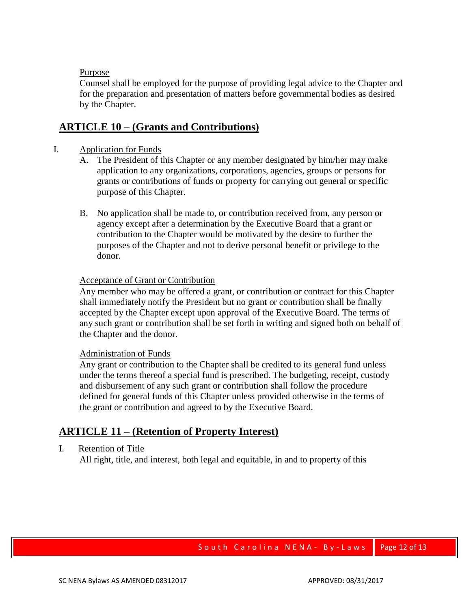## Purpose

Counsel shall be employed for the purpose of providing legal advice to the Chapter and for the preparation and presentation of matters before governmental bodies as desired by the Chapter.

## **ARTICLE 10 – (Grants and Contributions)**

## I. Application for Funds

- A. The President of this Chapter or any member designated by him/her may make application to any organizations, corporations, agencies, groups or persons for grants or contributions of funds or property for carrying out general or specific purpose of this Chapter.
- B. No application shall be made to, or contribution received from, any person or agency except after a determination by the Executive Board that a grant or contribution to the Chapter would be motivated by the desire to further the purposes of the Chapter and not to derive personal benefit or privilege to the donor.

#### Acceptance of Grant or Contribution

Any member who may be offered a grant, or contribution or contract for this Chapter shall immediately notify the President but no grant or contribution shall be finally accepted by the Chapter except upon approval of the Executive Board. The terms of any such grant or contribution shall be set forth in writing and signed both on behalf of the Chapter and the donor.

#### Administration of Funds

Any grant or contribution to the Chapter shall be credited to its general fund unless under the terms thereof a special fund is prescribed. The budgeting, receipt, custody and disbursement of any such grant or contribution shall follow the procedure defined for general funds of this Chapter unless provided otherwise in the terms of the grant or contribution and agreed to by the Executive Board.

## **ARTICLE 11 – (Retention of Property Interest)**

#### I. Retention of Title

All right, title, and interest, both legal and equitable, in and to property of this

## South Carolina NENA-By-Laws | Page 12 of 13